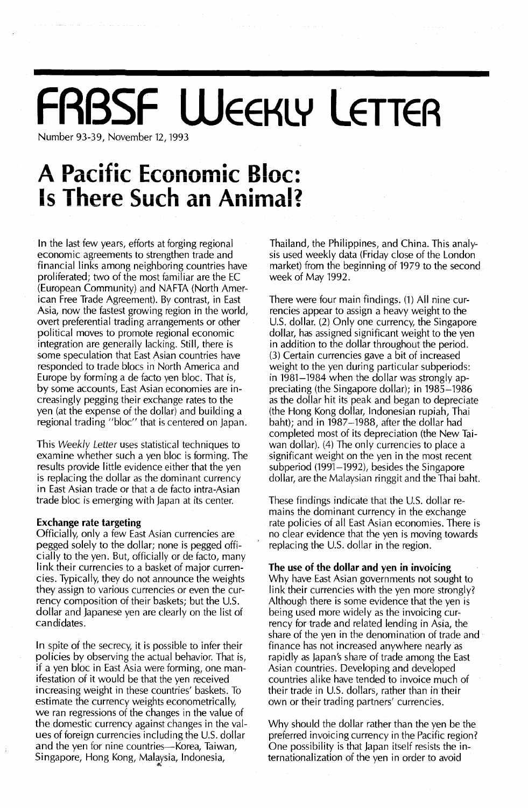# **FABSF WEEKLY LETTER**

Number 93-39, November 12, 1993

### **A Pacific Economic Bloc: Is There Such an Animal?**

In the last few years, efforts at forging regional economic agreements to strengthen trade and financial links among neighboring countries have proliferated; two of the most familiar are the EC (European Community) and NAFTA (North American Free Trade Agreement). By contrast, in East Asia, now the fastest growing region in the world, overt preferential trading arrangements or other political moves to promote regional economic integration are generally lacking. Still, there is some speculation that East Asian countries have responded to trade blocs in North America and Europe by forming a de facto yen bloc. That is, by some accounts, East Asian economies are increasingly pegging their exchange rates to the yen (at the expense of the dollar) and building a regional trading "bloc" that is centered on Japan.

This Weekly Letter uses statistical techniques to examine whether such a yen bloc is forming. The results provide little evidence either that the yen is replacing the dollar as the dominant currency in East Asian trade or that a de facto intra-Asian trade bloc is emerging with Japan at its center.

### Exchange rate targeting

Officially, only a few East Asian currencies are pegged solely to the dollar; none is pegged officially to the yen. But, officially or de facto, many link their currencies to a basket of major currencies. Typically, they do not announce the weights they assign to various currencies or even the currency composition of their baskets; but the U.S. dollar and Japanese yen are clearly on the list of candidates.

In spite of the secrecy, it is possible to infer their policies by observing the actual behavior. That is, if a yen bloc in East Asia were forming, one manifestation of it would be that the yen received increasing weight in these countries' baskets. To estimate the currency weights econometrically, we ran regressions of the changes in the value of the domestic currency against changes in the values of foreign currencies including the U.S. dollar and the yen for nine countries-Korea, Taiwan, Singapore, Hong Kong, Malaysia, Indonesia,

Thailand, the Philippines, and China. This analysis used weekly data (Friday close of the London market) from the beginning of 1979 to the second week of May 1992.

There were four main findings. (1) All nine currencies appear to assign a heavy weight to the U.s. dollar. (2) Only one currency, the Singapore dollar, has assigned significant weight to the yen in addition to the dollar throughout the period. (3) Certain currencies gave a bit of increased weight to the yen during particular subperiods: in 1981-1984 when the dollar was strongly appreciating (the Singapore dollar); in 1985-1986 as the dollar hit its peak and began to depreciate (the Hong Kong dollar, Indonesian rupiah, Thai baht); and in 1987-1988, after the dollar had completed most of its depreciation (the New Taiwan dollar). (4) The only currencies to place a significant weight on the yen in the most recent subperiod (1991–1992), besides the Singapore dollar, are the Malaysian ringgit and the Thai baht.

These findings indicate that the U.S. dollar remains the dominant currency in the exchange rate policies of all East Asian economies. There is no clear evidence that the yen is moving towards replacing the U.S. dollar in the region.

### The use of the dollar and yen in invoicing

Why have East Asian governments not sought to link their currencies with the yen more strongly? Although there is some evidence that the yen is being used more widely as the invoicing currency for trade and related lending in Asia, the share of the yen in the denomination of trade and finance has not increased anywhere nearly as rapidly as Japan's share of trade among the East Asian countries. Developing and developed countries alike have tended to invoice much of their trade in U.S. dollars, rather than in their own or their trading partners' currencies.

Why should the dollar rather than the yen be the preferred invoicing currency in the Pacific region? One possibility is that Japan itself resists the internationalization of the yen in order to avoid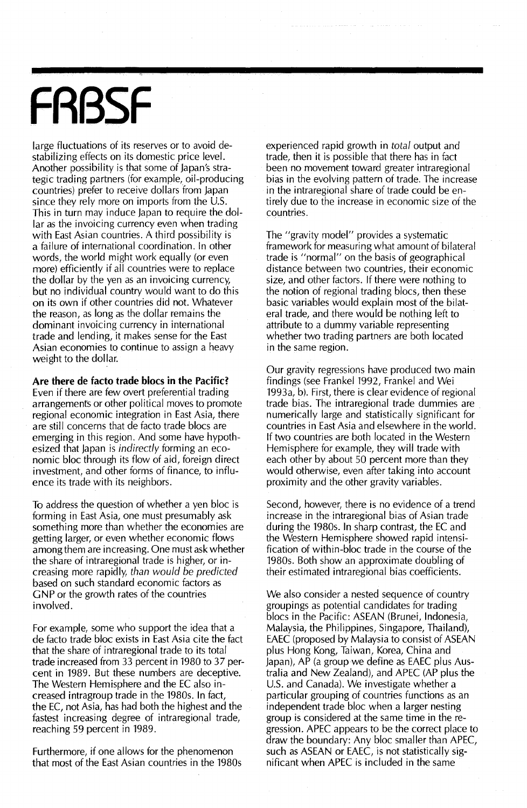# **FRBSF**

large fluctuations of its reserves or to avoid destabilizing effects on its domestic price level. Another possibility is that some of Japan's strategic trading partners (for example, oii-producing countries) prefer to receive dollars from Japan since they rely more on imports from the U.S. This in turn may induce Japan to require the dollar as the invoicing currency even when trading with East Asian countries. A third possibility is a failure of international coordination. In other words, the world might work equally (or even more) efficiently if all countries were to replace the dollar by the yen as an invoicing currency, but no individual country would want to do this on its own if other countries did not. Whatever the reason, as long as the dollar remains the dominant invoicing currency in international trade and lending, it makes sense for the East Asian economies to continue to assign a heavy weight to the dollar.

**Are there de facto trade blocs in the Pacific?**

Even if there are few overt preferential trading arrangements or other political moves to promote regional economic integration in East Asia, there are still concerns that de facto trade blocs are emerging in this region. And some have hypothesized that Japan is *indirectly* forming an economic bloc through its flow of aid, foreign direct investment, and other forms of finance, to influence its trade with its neighbors.

To address the question of whether a yen bloc is forming in East Asia, one must presumably ask something more than whether the economies are getting larger, or even whether economic flows among them are increasing. One must ask whether the share of intraregional trade is higher, or increasing more rapidly, *than would* be *predicted* based on such standard economic factors as GNP or the growth rates of the countries involved.

For example, some who support the idea that a de facto trade bloc exists in East Asia cite the fact that the share of intraregional trade to its total trade increased from 33 percent in 1980 to 37 percent in 1989. But these numbers are deceptive. The Western Hemisphere and the EC also increased intragroup trade in the 1980s. In fact, the EC, not Asia, has had both the highest and the fastest increasing degree of intraregional trade, reaching 59 percent in 1989.

Furthermore, if one allows for the phenomenon that most of the East Asian countries in the 1980s experienced rapid growth in *total* output and trade, then it is possible that there has in fact been no movement toward greater intraregional bias in the evolving pattern of trade. The increase in the intraregional share of trade could be entirely due to the increase in economic size of the countries.

The "gravity model" provides a systematic framework for measuring what amount of bilateral trade is "normal" on the basis of geographical distance between two countries, their economic size, and other factors. If there were nothing to the notion of regional trading blocs, then these basic variables would explain most of the bilateral trade, and there would be nothing left to attribute to a dummy variable representing whether two trading partners are both located in the same region.

Our gravity regressions have produced two main findings (see Frankel 1992, Frankel and Wei  $1993a$ , b). First, there is clear evidence of regional trade bias. The intraregional trade dummies are numerically large and statistically significant for countries in East Asia and elsewhere in the world. If two countries are both located in the Western Hemisphere for example, they will trade with each other by about 50 percent more than they would otherwise, even after taking into account proximity and the other gravity variables.

Second, however, there is no evidence of a trend **increase in the, intraregional bias of Asian trade** during the 1980s. In sharp contrast, the EC and the Western Hemisphere showed rapid intensification of within-bloc trade in the course of the 1980s. Both show an approximate doubling of their estimated intraregional bias coefficients.

We also consider a nested sequence of country groupings as potential candidates for trading blocs in the Pacific: ASEAN (Brunei, Indonesia, Malaysia, the Philippines, Singapore, Thailand), EAEC (proposed by Malaysia to consist of ASEAN plus Hong Kong, Taiwan, Korea, China and Japan), AP (a group we define as EAEC plus Australia and New Zealand), and APEC (AP plus the U.S. and Canada). We investigate whether a particular grouping of countries functions as an independent trade bloc when a larger nesting group is considered at the same time in the regression. APEC appears to be the correct place to draw the boundary: Any bloc smaller than APEC, such as ASEAN or EAEC, is not statistically significant when APEC is included in the same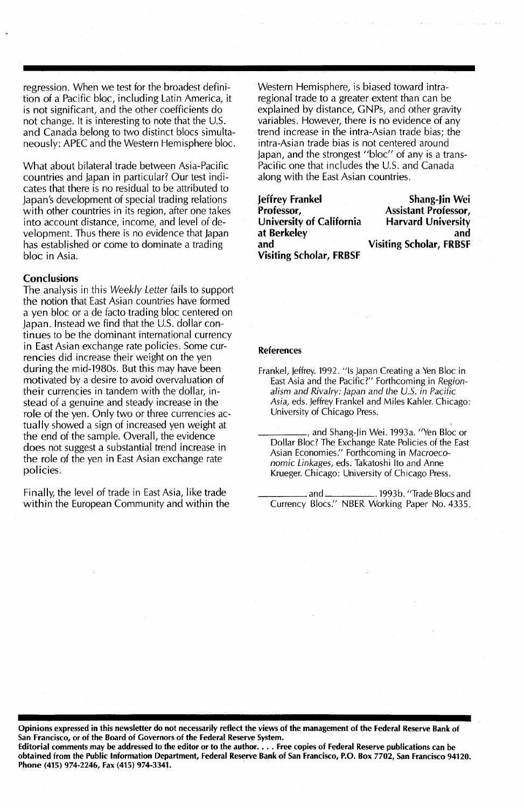regression. When we test for the broadest definition of a Pacific bloc, including Latin America, it is not significant, and the other coefficients do not change. It is interesting to note that the U.S. and Canada belong to two distinct blocs simultaneously: APEC and the Western Hemisphere bloc.

What about bilateral trade between Asia-Pacific countries and japan in particular? Our test indicates that there is no residual to be attributed to japan's development of special trading relations with other countries in its region, after one takes into account distance, income, and level of development. Thus there is no evidence that Japan has established or come to dominate a trading bloc in Asia.

### **Conclusions**

The analysis in this Weekly Letter fails to support the notion that East Asian countries have formed a yen bloc or a de facto trading bloc centered on Japan. Instead we find that the U.S. dollar continues to be the dominant international currency in East Asian exchange rate policies. Some currencies did increase their weight on the yen during the mid-1980s. But this may have been motivated by a desire to avoid overvaluation of their currencies in tandem with the dollar, instead of a genuine and steady increase in the role of the yen. Only two or three currencies actually showed a sign of increased yen weight at the end of the sample. Overall, the evidence does not suggest a substantial trend increase in the role of the yen in East Asian exchange rate policies.

Finally, the level of trade in East Asia, like trade within the European Community and within the Western Hemisphere, is biased toward intraregional trade to a greater extent than can be explained by distance, GNPs, and other gravity variables. However, there is no evidence of any trend increase in the intra-Asian trade bias; the intra-Asian trade bias is not centered around Japan, and the strongest "bloc" of any is a trans-Pacific one that includes the U.S. and Canada along with the East Asian countries.

| Jeffrey Frankel                | Shang-Jin Wei                  |
|--------------------------------|--------------------------------|
| Professor,                     | <b>Assistant Professor,</b>    |
| University of California       | <b>Harvard University</b>      |
| at Berkeley                    | and                            |
| and                            | <b>Visiting Scholar, FRBSF</b> |
| <b>Visiting Scholar, FRBSF</b> |                                |

#### References

- Frankel, Jeffrey. 1992. "Is Japan Creating a Yen Bloc in East Asia and the Pacific?" Forthcoming in Regionalism and Rivalry: japan and the U.S. in Pacific Asia, eds. jeffrey Frankel and Miles Kahler. Chicago: University of Chicago Press.
	- ., and Shang-Jin Wei. 1993a. "Yen Bloc or Dollar Bloc? The Exchange Rate Policies of the East Asian Economies." Forthcoming in Macroeconomic Linkages, eds. Takatoshi Ito and Anne Krueger. Chicago: University of Chicago Press.

and \_\_\_\_\_\_\_\_\_\_\_\_\_. 1993b. "Trade Blocs and Currency Blocs." NBER Working Paper No. 4335.

Opinions expressed in this newsletter do not necessarily reflect the views of the management of the Federal Reserve Bank of San Francisco, or of the Board of Governors of the Federal Reserve System. Editorial comments may be addressed to the editor or to the author.  $\ldots$  Free copies of Federal Reserve publications can be obtained from the Public Information Department, Federal Reserve Bank of San Francisco, P.O. Box 7702, San Francisco 94120.

Phone (415) 974-2246, Fax (415) 974-3341.